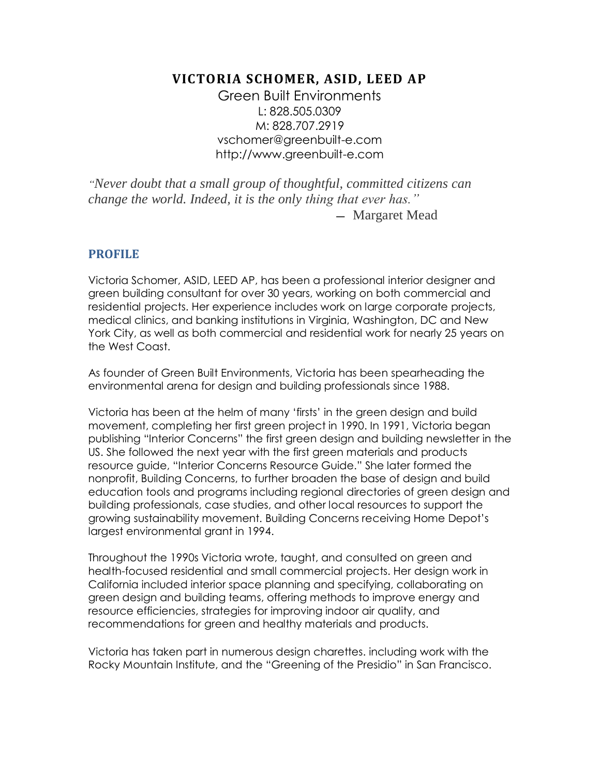# **VICTORIA SCHOMER, ASID, LEED AP**

Green Built Environments L: 828.505.0309 M: 828.707.2919 vschomer@greenbuilt-e.com http://www.greenbuilt-e.com

*"Never doubt that a small group of thoughtful, committed citizens can change the world. Indeed, it is the only thing that ever has."*

- Margaret Mead

# **PROFILE**

Victoria Schomer, ASID, LEED AP, has been a professional interior designer and green building consultant for over 30 years, working on both commercial and residential projects. Her experience includes work on large corporate projects, medical clinics, and banking institutions in Virginia, Washington, DC and New York City, as well as both commercial and residential work for nearly 25 years on the West Coast.

As founder of Green Built Environments, Victoria has been spearheading the environmental arena for design and building professionals since 1988.

Victoria has been at the helm of many 'firsts' in the green design and build movement, completing her first green project in 1990. In 1991, Victoria began publishing "Interior Concerns" the first green design and building newsletter in the US. She followed the next year with the first green materials and products resource guide, "Interior Concerns Resource Guide." She later formed the nonprofit, Building Concerns, to further broaden the base of design and build education tools and programs including regional directories of green design and building professionals, case studies, and other local resources to support the growing sustainability movement. Building Concerns receiving Home Depot's largest environmental grant in 1994.

Throughout the 1990s Victoria wrote, taught, and consulted on green and health-focused residential and small commercial projects. Her design work in California included interior space planning and specifying, collaborating on green design and building teams, offering methods to improve energy and resource efficiencies, strategies for improving indoor air quality, and recommendations for green and healthy materials and products.

Victoria has taken part in numerous design charettes. including work with the Rocky Mountain Institute, and the "Greening of the Presidio" in San Francisco.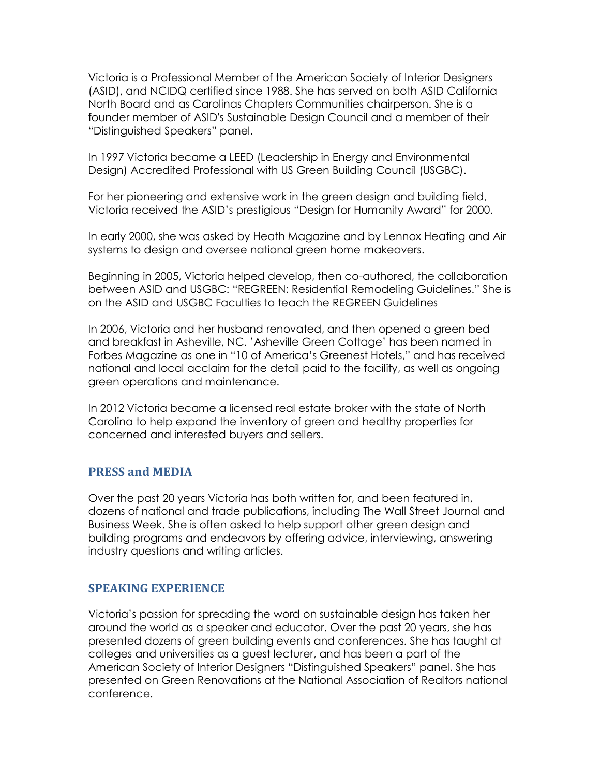Victoria is a Professional Member of the American Society of Interior Designers (ASID), and NCIDQ certified since 1988. She has served on both ASID California North Board and as Carolinas Chapters Communities chairperson. She is a founder member of ASID's Sustainable Design Council and a member of their "Distinguished Speakers" panel.

In 1997 Victoria became a LEED (Leadership in Energy and Environmental Design) Accredited Professional with US Green Building Council (USGBC).

For her pioneering and extensive work in the green design and building field, Victoria received the ASID's prestigious "Design for Humanity Award" for 2000.

In early 2000, she was asked by Heath Magazine and by Lennox Heating and Air systems to design and oversee national green home makeovers.

Beginning in 2005, Victoria helped develop, then co-authored, the collaboration between ASID and USGBC: "REGREEN: Residential Remodeling Guidelines." She is on the ASID and USGBC Faculties to teach the REGREEN Guidelines

In 2006, Victoria and her husband renovated, and then opened a green bed and breakfast in Asheville, NC. 'Asheville Green Cottage' has been named in Forbes Magazine as one in "10 of America's Greenest Hotels," and has received national and local acclaim for the detail paid to the facility, as well as ongoing green operations and maintenance.

In 2012 Victoria became a licensed real estate broker with the state of North Carolina to help expand the inventory of green and healthy properties for concerned and interested buyers and sellers.

#### **PRESS and MEDIA**

Over the past 20 years Victoria has both written for, and been featured in, dozens of national and trade publications, including The Wall Street Journal and Business Week. She is often asked to help support other green design and building programs and endeavors by offering advice, interviewing, answering industry questions and writing articles.

#### **SPEAKING EXPERIENCE**

Victoria's passion for spreading the word on sustainable design has taken her around the world as a speaker and educator. Over the past 20 years, she has presented dozens of green building events and conferences. She has taught at colleges and universities as a guest lecturer, and has been a part of the American Society of Interior Designers "Distinguished Speakers" panel. She has presented on Green Renovations at the National Association of Realtors national conference.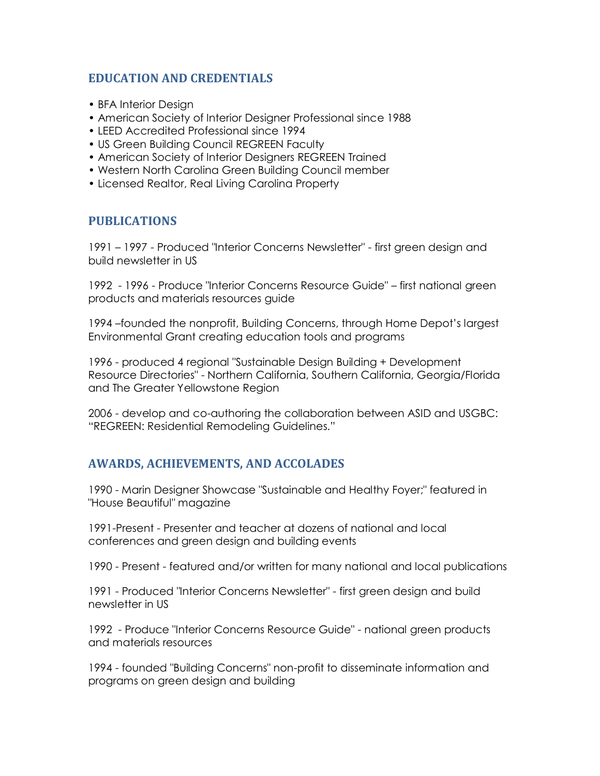### **EDUCATION AND CREDENTIALS**

- BFA Interior Design
- American Society of Interior Designer Professional since 1988
- LEED Accredited Professional since 1994
- US Green Building Council REGREEN Faculty
- American Society of Interior Designers REGREEN Trained
- Western North Carolina Green Building Council member
- Licensed Realtor, Real Living Carolina Property

# **PUBLICATIONS**

1991 – 1997 - Produced "Interior Concerns Newsletter" - first green design and build newsletter in US

1992 - 1996 - Produce "Interior Concerns Resource Guide" – first national green products and materials resources guide

1994 –founded the nonprofit, Building Concerns, through Home Depot's largest Environmental Grant creating education tools and programs

1996 - produced 4 regional "Sustainable Design Building + Development Resource Directories" - Northern California, Southern California, Georgia/Florida and The Greater Yellowstone Region

2006 - develop and co-authoring the collaboration between ASID and USGBC: "REGREEN: Residential Remodeling Guidelines."

# **AWARDS, ACHIEVEMENTS, AND ACCOLADES**

1990 - Marin Designer Showcase "Sustainable and Healthy Foyer;" featured in "House Beautiful" magazine

1991-Present - Presenter and teacher at dozens of national and local conferences and green design and building events

1990 - Present - featured and/or written for many national and local publications

1991 - Produced "Interior Concerns Newsletter" - first green design and build newsletter in US

1992 - Produce "Interior Concerns Resource Guide" - national green products and materials resources

1994 - founded "Building Concerns" non-profit to disseminate information and programs on green design and building